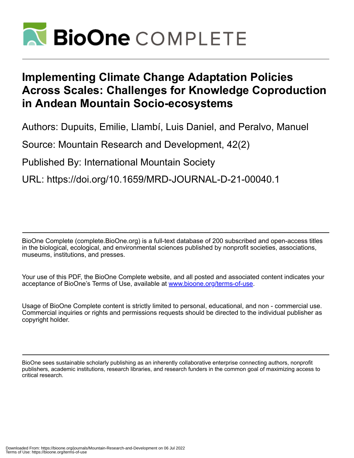

# **Implementing Climate Change Adaptation Policies Across Scales: Challenges for Knowledge Coproduction in Andean Mountain Socio-ecosystems**

Authors: Dupuits, Emilie, Llambí, Luis Daniel, and Peralvo, Manuel

Source: Mountain Research and Development, 42(2)

Published By: International Mountain Society

URL: https://doi.org/10.1659/MRD-JOURNAL-D-21-00040.1

BioOne Complete (complete.BioOne.org) is a full-text database of 200 subscribed and open-access titles in the biological, ecological, and environmental sciences published by nonprofit societies, associations, museums, institutions, and presses.

Your use of this PDF, the BioOne Complete website, and all posted and associated content indicates your acceptance of BioOne's Terms of Use, available at www.bioone.org/terms-of-use.

Usage of BioOne Complete content is strictly limited to personal, educational, and non - commercial use. Commercial inquiries or rights and permissions requests should be directed to the individual publisher as copyright holder.

BioOne sees sustainable scholarly publishing as an inherently collaborative enterprise connecting authors, nonprofit publishers, academic institutions, research libraries, and research funders in the common goal of maximizing access to critical research.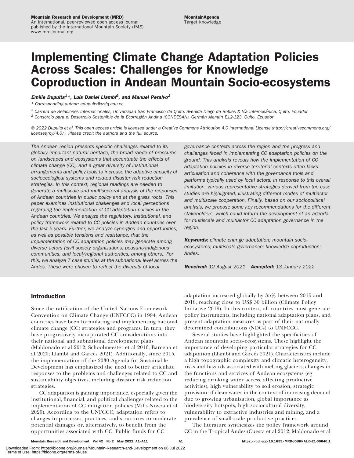# Implementing Climate Change Adaptation Policies Across Scales: Challenges for Knowledge Coproduction in Andean Mountain Socio-ecosystems

# Emilie Dupuits<sup>1</sup>\*, Luis Daniel Llambi<sup>2</sup>, and Manuel Peralvo<sup>2</sup>

\* Corresponding author: [edupuits@usfq.edu.ec](mailto:edupuits@usfq.edu.ec)

 $1$  Carrera de Relaciones Internacionales, Universidad San Francisco de Quito, Avenida Diego de Robles & Vía Interoceánica, Quito, Ecuador

 $2$  Consorcio para el Desarrollo Sostenible de la Ecorregión Andina (CONDESAN), Germán Alemán E12-123, Quito, Ecuador

- 2022 Dupuits et al. This open access article is licensed under a Creative Commons Attribution 4.0 International License ([http://creativecommons.org/](http://creativecommons.org/licenses/by/4.0/) [licenses/by/4.0/](http://creativecommons.org/licenses/by/4.0/)). Please credit the authors and the full source.

The Andean region presents specific challenges related to its globally important natural heritage, the broad range of pressures on landscapes and ecosystems that accentuate the effects of climate change (CC), and a great diversity of institutional arrangements and policy tools to increase the adaptive capacity of socioecological systems and related disaster risk reduction strategies. In this context, regional readings are needed to generate a multiscale and multisectoral analysis of the responses of Andean countries in public policy and at the grass roots. This paper examines institutional challenges and local perceptions regarding the implementation of CC adaptation policies in the Andean countries. We analyze the regulatory, institutional, and policy framework related to CC policies in Andean countries over the last 5 years. Further, we analyze synergies and opportunities, as well as possible tensions and resistance, that the implementation of CC adaptation policies may generate among diverse actors (civil society organizations, peasant/indigenous communities, and local/regional authorities, among others). For this, we analyze 7 case studies at the subnational level across the Andes. These were chosen to reflect the diversity of local

governance contexts across the region and the progress and challenges faced in implementing CC adaptation policies on the ground. This analysis reveals how the implementation of CC adaptation policies in diverse territorial contexts often lacks articulation and coherence with the governance tools and platforms typically used by local actors. In response to this overall limitation, various representative strategies derived from the case studies are highlighted, illustrating different modes of multiactor and multiscale cooperation. Finally, based on our sociopolitical analysis, we propose some key recommendations for the different stakeholders, which could inform the development of an agenda for multiscale and multiactor CC adaptation governance in the region.

Keywords: climate change adaptation; mountain socioecosystems; multiscale governance; knowledge coproduction; Andes.

Received: 12 August 2021 Accepted: 13 January 2022

# Introduction

Since the ratification of the United Nations Framework Convention on Climate Change (UNFCCC) in 1994, Andean countries have been formulating and implementing national climate change (CC) strategies and programs. In turn, they have progressively incorporated CC considerations into their national and subnational development plans (Maldonado et al 2012; Schoolmeester et al 2016; Barcena et al 2020; Llambí and Garcés 2021). Additionally, since 2015, the implementation of the 2030 Agenda for Sustainable Development has emphasized the need to better articulate responses to the problems and challenges related to CC and sustainability objectives, including disaster risk reduction strategies.

CC adaptation is gaining importance, especially given the institutional, financial, and political challenges related to the implementation of CC mitigation policies (Mills-Novoa et al 2020). According to the UNFCCC, adaptation refers to changes in processes, practices, and structures to moderate potential damages or, alternatively, to benefit from the opportunities associated with CC. Public funds for CC

adaptation increased globally by 35% between 2015 and 2018, reaching close to US\$ 30 billion (Climate Policy Initiative 2019). In this context, all countries must generate policy instruments, including national adaptation plans, and present adaptation measures as part of their nationally determined contributions (NDCs) to UNFCCC.

Several studies have highlighted the specificities of Andean mountain socio-ecosystems. These highlight the importance of developing particular strategies for CC adaptation (Llambí and Garcés 2021). Characteristics include a high topographic complexity and climatic heterogeneity, risks and hazards associated with melting glaciers, changes in the functions and services of Andean ecosystems (eg reducing drinking water access, affecting productive activities), high vulnerability to soil erosion, strategic provision of clean water in the context of increasing demand due to growing urbanization, global importance as biodiversity hotspots, high sociocultural diversity, vulnerability to extractive industries and mining, and a prevalence of small-scale productive practices.

The literature synthesizes the policy framework around CC in the Tropical Andes (Cuesta et al 2012; Maldonado et al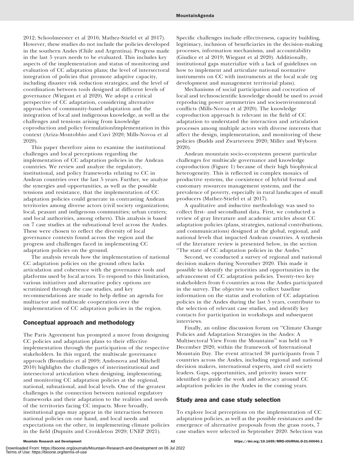2012; Schoolmeester et al 2016; Mathez-Stiefel et al 2017). However, these studies do not include the policies developed in the southern Andes (Chile and Argentina). Progress made in the last 5 years needs to be evaluated. This includes key aspects of the implementation and status of monitoring and evaluation of CC adaptation plans; the level of intersectoral integration of policies that promote adaptive capacity, including disaster risk reduction strategies; and the level of coordination between tools designed at different levels of governance (Wiegant et al 2020). We adopt a critical perspective of CC adaptation, considering alternative approaches of community-based adaptation and the integration of local and indigenous knowledge, as well as the challenges and tensions arising from knowledge coproduction and policy formulation/implementation in this context (Ariza-Montobbio and Cuvi 2020; Mills-Novoa et al 2020).

This paper therefore aims to examine the institutional challenges and local perceptions regarding the implementation of CC adaptation policies in the Andean countries. We review and analyze the regulatory, institutional, and policy frameworks relating to CC in Andean countries over the last 5 years. Further, we analyze the synergies and opportunities, as well as the possible tensions and resistance, that the implementation of CC adaptation policies could generate in contrasting Andean territories among diverse actors (civil society organizations; local, peasant and indigenous communities; urban centers; and local authorities, among others). This analysis is based on 7 case studies at the subnational level across the Andes. These were chosen to reflect the diversity of local governance contexts found across the region and the progress and challenges faced in implementing CC adaptation policies on the ground.

The analysis reveals how the implementation of national CC adaptation policies on the ground often lacks articulation and coherence with the governance tools and platforms used by local actors. To respond to this limitation, various initiatives and alternative policy options are scrutinized through the case studies, and key recommendations are made to help define an agenda for multiactor and multiscale cooperation over the implementation of CC adaptation policies in the region.

# Conceptual approach and methodology

The Paris Agreement has prompted a move from designing CC policies and adaptation plans to their effective implementation through the participation of the respective stakeholders. In this regard, the multiscale governance approach (Brondizio et al 2009; Andonova and Mitchell 2010) highlights the challenges of interinstitutional and intersectoral articulation when designing, implementing, and monitoring CC adaptation policies at the regional, national, subnational, and local levels. One of the greatest challenges is the connection between national regulatory frameworks and their adaptation to the realities and needs of the territories facing CC impacts. More broadly, institutional gaps may appear in the interaction between national policies on one hand, and local needs and expectations on the other, in implementing climate policies in the field (Dupuits and Cronkleton 2020; UNEP 2021).

Specific challenges include effectiveness, capacity building, legitimacy, inclusion of beneficiaries in the decision-making processes, information mechanisms, and accountability (Giudice et al 2019; Wiegant et al 2020). Additionally, institutional gaps materialize with a lack of guidelines on how to implement and articulate national normative instruments on CC with instruments at the local scale (eg development and management territorial plans).

Mechanisms of social participation and cocreation of local and technoscientific knowledge should be used to avoid reproducing power asymmetries and socioenvironmental conflicts (Mills-Novoa et al 2020). The knowledge coproduction approach is relevant in the field of CC adaptation to understand the interaction and articulation processes among multiple actors with diverse interests that affect the design, implementation, and monitoring of these policies (Budds and Zwarteveen 2020; Miller and Wyborn 2020).

Andean mountain socio-ecosystems present particular challenges for multiscale governance and knowledge coproduction (Figure 1) because of their high biophysical heterogeneity. This is reflected in complex mosaics of productive systems, the coexistence of hybrid formal and customary resources management systems, and the prevalence of poverty, especially in rural landscapes of small producers (Mathez-Stiefel et al 2017).

A qualitative and inductive methodology was used to collect first- and secondhand data. First, we conducted a review of gray literature and academic articles about CC adaptation policies (plans, strategies, national contributions, and communications) designed at the global, regional, and national levels that impacted Andean countries. A synthesis of the literature review is presented below, in the section ''The state of CC adaptation policies in the Andes.''

Second, we conducted a survey of regional and national decision makers during November 2020. This made it possible to identify the priorities and opportunities in the advancement of CC adaptation policies. Twenty-two key stakeholders from 6 countries across the Andes participated in the survey. The objective was to collect baseline information on the status and evolution of CC adaptation policies in the Andes during the last 5 years, contribute to the selection of relevant case studies, and identify key contacts for participation in workshops and subsequent interviews.

Finally, an online discussion forum on ''Climate Change Policies and Adaptation Strategies in the Andes: A Multisectoral View From the Mountains'' was held on 9 December 2020, within the framework of International Mountain Day. The event attracted 38 participants from 7 countries across the Andes, including regional and national decision makers, international experts, and civil society leaders. Gaps, opportunities, and priority issues were identified to guide the work and advocacy around CC adaptation policies in the Andes in the coming years.

# Study area and case study selection

To explore local perceptions on the implementation of CC adaptation policies, as well as the possible resistances and the emergence of alternative proposals from the grass roots, 7 case studies were selected in September 2020. Selection was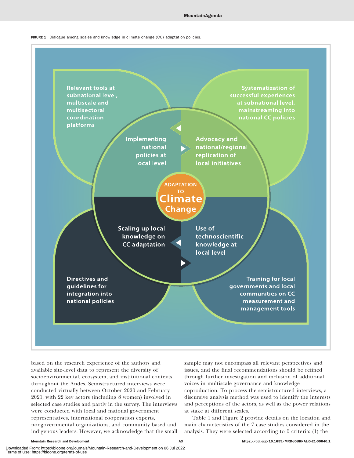



based on the research experience of the authors and available site-level data to represent the diversity of socioenvironmental, ecosystem, and institutional contexts throughout the Andes. Semistructured interviews were conducted virtually between October 2020 and February 2021, with 22 key actors (including 8 women) involved in selected case studies and partly in the survey. The interviews were conducted with local and national government representatives, international cooperation experts, nongovernmental organizations, and community-based and indigenous leaders. However, we acknowledge that the small

sample may not encompass all relevant perspectives and issues, and the final recommendations should be refined through further investigation and inclusion of additional voices in multiscale governance and knowledge coproduction. To process the semistructured interviews, a discursive analysis method was used to identify the interests and perceptions of the actors, as well as the power relations at stake at different scales.

Table 1 and Figure 2 provide details on the location and main characteristics of the 7 case studies considered in the analysis. They were selected according to 5 criteria: (1) the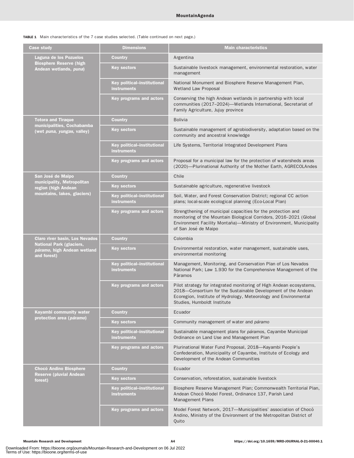TABLE 1 Main characteristics of the 7 case studies selected. (Table continued on next page.)

| <b>Case study</b>                                                             | <b>Dimensions</b>                                        | <b>Main characteristics</b>                                                                                                                                                                                                             |  |
|-------------------------------------------------------------------------------|----------------------------------------------------------|-----------------------------------------------------------------------------------------------------------------------------------------------------------------------------------------------------------------------------------------|--|
| Laguna de los Pozuelos                                                        | <b>Country</b>                                           | Argentina                                                                                                                                                                                                                               |  |
| <b>Biosphere Reserve (high</b><br>Andean wetlands, puna)                      | <b>Key sectors</b>                                       | Sustainable livestock management, environmental restoration, water<br>management                                                                                                                                                        |  |
|                                                                               | <b>Key political-institutional</b><br><b>instruments</b> | National Monument and Biosphere Reserve Management Plan,<br><b>Wetland Law Proposal</b>                                                                                                                                                 |  |
|                                                                               | Key programs and actors                                  | Conserving the high Andean wetlands in partnership with local<br>communities (2017-2024)-Wetlands International, Secretariat of<br>Family Agriculture, Jujuy province                                                                   |  |
| <b>Totora and Tiraque</b>                                                     | <b>Country</b>                                           | <b>Bolivia</b>                                                                                                                                                                                                                          |  |
| municipalities, Cochabamba<br>(wet puna, yungas, valley)                      | <b>Key sectors</b>                                       | Sustainable management of agrobiodiversity, adaptation based on the<br>community and ancestral knowledge                                                                                                                                |  |
|                                                                               | Key political-institutional<br><b>instruments</b>        | Life Systems, Territorial Integrated Development Plans                                                                                                                                                                                  |  |
|                                                                               | <b>Key programs and actors</b>                           | Proposal for a municipal law for the protection of watersheds areas<br>(2020)-Plurinational Authority of the Mother Earth, AGRECOLAndes                                                                                                 |  |
| San José de Maipo                                                             | <b>Country</b>                                           | Chile                                                                                                                                                                                                                                   |  |
| municipality, Metropolitan<br>region (high Andean                             | <b>Key sectors</b>                                       | Sustainable agriculture, regenerative livestock                                                                                                                                                                                         |  |
| mountains, lakes, glaciers)                                                   | Key political-institutional<br><b>instruments</b>        | Soil, Water, and Forest Conservation District; regional CC action<br>plans; local-scale ecological planning (Eco-Local Plan)                                                                                                            |  |
|                                                                               | Key programs and actors                                  | Strengthening of municipal capacities for the protection and<br>monitoring of the Mountain Biological Corridors, 2016-2021 (Global<br>Environment Facility Montaña)—Ministry of Environment, Municipality<br>of San José de Maipo       |  |
| <b>Claro river basin, Los Nevados</b>                                         | <b>Country</b>                                           | Colombia                                                                                                                                                                                                                                |  |
| <b>National Park (glaciers,</b><br>páramo, high Andean wetland<br>and forest) | <b>Key sectors</b>                                       | Environmental restoration, water management, sustainable uses,<br>environmental monitoring                                                                                                                                              |  |
|                                                                               | <b>Key political-institutional</b><br><b>instruments</b> | Management, Monitoring, and Conservation Plan of Los Nevados<br>National Park; Law 1.930 for the Comprehensive Management of the<br>Páramos                                                                                             |  |
|                                                                               | <b>Key programs and actors</b>                           | Pilot strategy for integrated monitoring of High Andean ecosystems,<br>2018-Consortium for the Sustainable Development of the Andean<br>Ecoregion, Institute of Hydrology, Meteorology and Environmental<br>Studies, Humboldt Institute |  |
| Kayambi community water                                                       | Country                                                  | Ecuador                                                                                                                                                                                                                                 |  |
| protection area (páramo)                                                      | <b>Key sectors</b>                                       | Community management of water and páramo                                                                                                                                                                                                |  |
|                                                                               | Key political-institutional<br><b>instruments</b>        | Sustainable management plans for páramos, Cayambe Municipal<br>Ordinance on Land Use and Management Plan                                                                                                                                |  |
|                                                                               | Key programs and actors                                  | Plurinational Water Fund Proposal, 2018-Kayambi People's<br>Confederation, Municipality of Cayambe, Institute of Ecology and<br>Development of the Andean Communities                                                                   |  |
| <b>Chocó Andino Biosphere</b>                                                 | <b>Country</b>                                           | Ecuador                                                                                                                                                                                                                                 |  |
| <b>Reserve (pluvial Andean)</b><br>forest)                                    | <b>Key sectors</b>                                       | Conservation, reforestation, sustainable livestock                                                                                                                                                                                      |  |
|                                                                               | Key political-institutional<br><b>instruments</b>        | Biosphere Reserve Management Plan; Commonwealth Territorial Plan,<br>Andean Chocó Model Forest, Ordinance 137, Parish Land<br>Management Plans                                                                                          |  |
|                                                                               | Key programs and actors                                  | Model Forest Network, 2017-Municipalities' association of Chocó<br>Andino, Ministry of the Environment of the Metropolitan District of<br>Quito                                                                                         |  |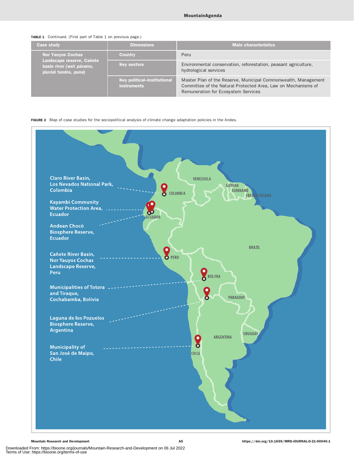| <b>TABLE 1</b> Continued. (First part of Table 1 on previous page.) |  |  |  |  |  |
|---------------------------------------------------------------------|--|--|--|--|--|
|                                                                     |  |  |  |  |  |

| <b>Case study</b>                                                              | <b>Dimensions</b>  | <b>Main characteristics</b>                                                                                                                                            |
|--------------------------------------------------------------------------------|--------------------|------------------------------------------------------------------------------------------------------------------------------------------------------------------------|
| <b>Nor Yauyos Cochas</b><br><b>Country</b>                                     |                    | Peru                                                                                                                                                                   |
| Landscape reserve, Cañete<br>basin river (wet páramo,<br>pluvial tundra, puna) | <b>Key sectors</b> | Environmental conservation, reforestation, peasant agriculture,<br>hydrological services                                                                               |
| Key political-institutional<br><b>instruments</b>                              |                    | Master Plan of the Reserve, Municipal Commonwealth, Management<br>Committee of the Natural Protected Area, Law on Mechanisms of<br>Remuneration for Ecosystem Services |

### FIGURE 2 Map of case studies for the sociopolitical analysis of climate change adaptation policies in the Andes.

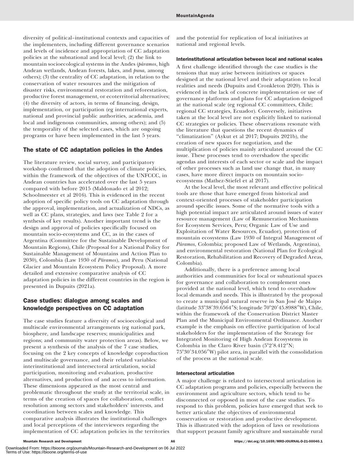diversity of political–institutional contexts and capacities of the implementers, including different governance scenarios and levels of incidence and appropriation of CC adaptation policies at the subnational and local level; (2) the link to mountain socioecological systems in the Andes (páramos, high Andean wetlands, Andean forests, lakes, and puna, among others); (3) the centrality of CC adaptation, in relation to the conservation of water resources and the mitigation of disaster risks, environmental restoration and reforestation, productive forest management, or ecoterritorial alternatives; (4) the diversity of actors, in terms of financing, design, implementation, or participation (eg international experts, national and provincial public authorities, academia, and local and indigenous communities, among others); and (5) the temporality of the selected cases, which are ongoing programs or have been implemented in the last 5 years.

# The state of CC adaptation policies in the Andes

The literature review, social survey, and participatory workshop confirmed that the adoption of climate policies, within the framework of the objectives of the UNFCCC, in Andean countries has accelerated over the last 5 years compared with before 2015 (Maldonado et al 2012; Schoolmeester et al 2016). This is evidenced in the recent adoption of specific policy tools on CC adaptation through the approval, implementation, and actualization of NDCs, as well as CC plans, strategies, and laws (see Table 2 for a synthesis of key results). Another important trend is the design and approval of policies specifically focused on mountain socio-ecosystems and CC, as in the cases of Argentina (Committee for the Sustainable Development of Mountain Regions), Chile (Proposal for a National Policy for Sustainable Management of Mountains and Action Plan to 2030), Colombia (Law 1930 of Páramos), and Peru (National Glacier and Mountain Ecosystem Policy Proposal). A more detailed and extensive comparative analysis of CC adaptation policies in the different countries in the region is presented in Dupuits (2021a).

# Case studies: dialogue among scales and knowledge perspectives on CC adaptation

The case studies feature a diversity of socioecological and multiscale environmental arrangements (eg national park, biosphere, and landscape reserves; municipalities and regions; and community water protection areas). Below, we present a synthesis of the analysis of the 7 case studies, focusing on the 2 key concepts of knowledge coproduction and multiscale governance, and their related variables: interinstitutional and intersectoral articulation, social participation, monitoring and evaluation, productive alternatives, and production of and access to information. These dimensions appeared as the most central and problematic throughout the study at the territorial scale, in terms of the creation of spaces for collaboration, conflict resolution among sectors and stakeholders' interests, and coordination between scales and knowledge. This comparative analysis illustrates the institutional challenges and local perceptions of the interviewees regarding the implementation of CC adaptation policies in the territories and the potential for replication of local initiatives at national and regional levels.

### Interinstitutional articulation between local and national scales

A first challenge identified through the case studies is the tensions that may arise between initiatives or spaces designed at the national level and their adaptation to local realities and needs (Dupuits and Cronkleton 2020). This is evidenced in the lack of concrete implementation or use of governance platforms and plans for CC adaptation designed at the national scale (eg regional CC committees, Chile; regional CC strategies, Ecuador). Conversely, initiatives taken at the local level are not explicitly linked to national CC strategies or policies. These observations resonate with the literature that questions the recent dynamics of "climatization" (Aykut et al 2017; Dupuits 2021b), the creation of new spaces for negotiation, and the multiplication of policies mainly articulated around the CC issue. These processes tend to overshadow the specific agendas and interests of each sector or scale and the impact of other processes such as land use change that, in many cases, have more direct impacts on mountain socioecosystems (Mathez-Stiefel et al 2017).

At the local level, the most relevant and effective political tools are those that have emerged from historical and context-oriented processes of stakeholder participation around specific issues. Some of the normative tools with a high potential impact are articulated around issues of water resource management (Law of Remuneration Mechanisms for Ecosystem Services, Peru; Organic Law of Use and Exploitation of Water Resources, Ecuador), protection of mountain ecosystems (Law 1930 of Integral Management of Páramos, Colombia; proposed Law of Wetlands, Argentina), and environmental restoration (National Plan for Ecological Restoration, Rehabilitation and Recovery of Degraded Areas, Colombia).

Additionally, there is a preference among local authorities and communities for local or subnational spaces for governance and collaboration to complement ones provided at the national level, which tend to overshadow local demands and needs. This is illustrated by the proposal to create a municipal natural reserve in San José de Maipo (latitude 33°38'39.6564"S; longitude 70°20'45.8988"W), Chile, within the framework of the Conservation District Master Plan and the Municipal Environmental Ordinance. Another example is the emphasis on effective participation of local stakeholders for the implementation of the Strategy for Integrated Monitoring of High Andean Ecosystems in Colombia in the Claro River basin  $(5^{\circ}2'8.412''N;$ 75°30′34.056″W) pilot area, in parallel with the consolidation of the process at the national scale.

#### Intersectoral articulation

A major challenge is related to intersectoral articulation in CC adaptation programs and policies, especially between the environment and agriculture sectors, which tend to be disconnected or opposed in most of the case studies. To respond to this problem, policies have emerged that seek to better articulate the objectives of environmental conservation or restoration and productive development. This is illustrated with the adoption of laws or resolutions that support peasant family agriculture and sustainable rural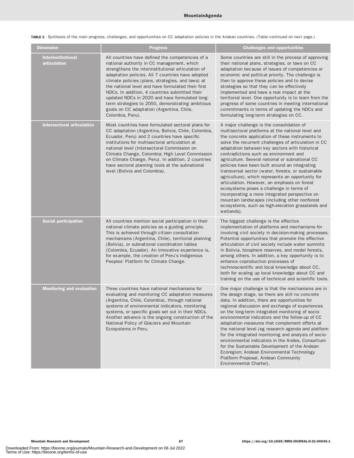TABLE 2 Synthesis of the main progress, challenges, and opportunities on CC adaptation policies in the Andean countries. (Table continued on next page.)

| <b>Dimension</b>                          | <b>Progress</b>                                                                                                                                                                                                                                                                                                                                                                                                                                                                                                                               | <b>Challenges and opportunities</b>                                                                                                                                                                                                                                                                                                                                                                                                                                                                                                                                                                                                                                                                                                                                                       |
|-------------------------------------------|-----------------------------------------------------------------------------------------------------------------------------------------------------------------------------------------------------------------------------------------------------------------------------------------------------------------------------------------------------------------------------------------------------------------------------------------------------------------------------------------------------------------------------------------------|-------------------------------------------------------------------------------------------------------------------------------------------------------------------------------------------------------------------------------------------------------------------------------------------------------------------------------------------------------------------------------------------------------------------------------------------------------------------------------------------------------------------------------------------------------------------------------------------------------------------------------------------------------------------------------------------------------------------------------------------------------------------------------------------|
| <b>Interinstitutional</b><br>articulation | All countries have defined the competencies of a<br>national authority in CC management, which<br>strengthens the interinstitutional articulation of<br>adaptation policies. All 7 countries have adopted<br>climate policies (plans, strategies, and laws) at<br>the national level and have formulated their first<br>NDCs. In addition, 4 countries submitted their<br>updated NDCs in 2020 and have formulated long-<br>term strategies to 2050, demonstrating ambitious<br>goals on CC adaptation (Argentina, Chile,<br>Colombia, Peru). | Some countries are still in the process of approving<br>their national plans, strategies, or laws on CC<br>adaptation because of issues of competencies or<br>economic and political priority. The challenge is<br>then to approve these policies and to devise<br>strategies so that they can be effectively<br>implemented and have a real impact at the<br>territorial level. One opportunity is to learn from the<br>progress of some countries in meeting international<br>commitments in terms of updating the NDCs and<br>formulating long-term strategies on CC.                                                                                                                                                                                                                  |
| <b>Intersectoral articulation</b>         | Most countries have formulated sectoral plans for<br>CC adaptation (Argentina, Bolivia, Chile, Colombia,<br>Ecuador, Peru) and 2 countries have specific<br>institutions for multisectoral articulation at<br>national level (Intersectoral Commission on<br>Climate Change, Colombia; High Level Commission<br>on Climate Change, Peru). In addition, 2 countries<br>have sectoral planning tools at the subnational<br>level (Bolivia and Colombia).                                                                                        | A major challenge is the consolidation of<br>multisectoral platforms at the national level and<br>the concrete application of these instruments to<br>solve the recurrent challenges of articulation in CC<br>adaptation between key sectors with historical<br>contradictions such as environment and<br>agriculture. Several national or subnational CC<br>policies have been built around an integrating<br>transversal sector (water, forests, or sustainable<br>agriculture), which represents an opportunity for<br>articulation. However, an emphasis on forest<br>ecosystems poses a challenge in terms of<br>incorporating a more integrated perspective on<br>mountain landscapes (including other nonforest<br>ecosystems, such as high-elevation grasslands and<br>wetlands). |
| <b>Social participation</b>               | All countries mention social participation in their<br>national climate policies as a guiding principle.<br>This is achieved through citizen consultation<br>mechanisms (Argentina, Chile), territorial planning<br>(Bolivia), or subnational coordination tables<br>(Colombia, Ecuador). An innovative experience is,<br>for example, the creation of Peru's Indigenous<br>Peoples' Platform for Climate Change.                                                                                                                             | The biggest challenge is the effective<br>implementation of platforms and mechanisms for<br>involving civil society in decision-making processes.<br>Potential opportunities that promote the effective<br>articulation of civil society include water summits<br>in Bolivia, biosphere reserves, and model forests,<br>among others. In addition, a key opportunity is to<br>enhance coproduction processes of<br>technoscientific and local knowledge about CC,<br>both for scaling up local knowledge about CC and<br>training on the use of technical and scientific tools.                                                                                                                                                                                                           |
| <b>Monitoring and evaluation</b>          | Three countries have national mechanisms for<br>evaluating and monitoring CC adaptation measures<br>(Argentina, Chile, Colombia), through national<br>systems of environmental indicators, monitoring<br>systems, or specific goals set out in their NDCs.<br>Another advance is the ongoing construction of the<br>National Policy of Glaciers and Mountain<br>Ecosystems in Peru.                                                                                                                                                           | One major challenge is that the mechanisms are in<br>the design stage, so there are still no concrete<br>data. In addition, there are opportunities for<br>regional discussion and exchange of experiences<br>on the long-term integrated monitoring of socio-<br>environmental indicators and the follow-up of CC<br>adaptation measures that complement efforts at<br>the national level (eg research agenda and platform<br>for the integrated monitoring and analysis of socio-<br>environmental indicators in the Andes, Consortium<br>for the Sustainable Development of the Andean<br>Ecoregion; Andean Environmental Technology<br>Platform Proposal, Andean Community<br>Environmental Charter).                                                                                 |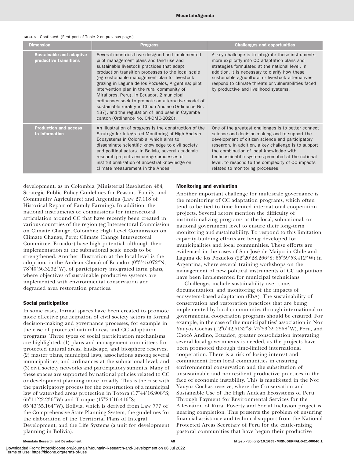| <b>Dimension</b>                                          | <b>Progress</b>                                                                                                                                                                                                                                                                                                                                                                                                                                                                                                                                                                                             | <b>Challenges and opportunities</b>                                                                                                                                                                                                                                                                                                                                                                        |  |  |  |  |
|-----------------------------------------------------------|-------------------------------------------------------------------------------------------------------------------------------------------------------------------------------------------------------------------------------------------------------------------------------------------------------------------------------------------------------------------------------------------------------------------------------------------------------------------------------------------------------------------------------------------------------------------------------------------------------------|------------------------------------------------------------------------------------------------------------------------------------------------------------------------------------------------------------------------------------------------------------------------------------------------------------------------------------------------------------------------------------------------------------|--|--|--|--|
| <b>Sustainable and adaptive</b><br>productive transitions | Several countries have designed and implemented<br>pilot management plans and land use and<br>sustainable livestock practices that adapt<br>production transition processes to the local scale<br>(eg sustainable management plan for livestock<br>grazing in Laguna de los Pozuelos, Argentina; pilot<br>intervention plan in the rural community of<br>Miraflores, Peru). In Ecuador, 2 municipal<br>ordinances seek to promote an alternative model of<br>sustainable rurality in Chocó Andino (Ordinance No.<br>137), and the regulation of land uses in Cayambe<br>canton (Ordinance No. 04-CMC-2020). | A key challenge is to integrate these instruments<br>more explicitly into CC adaptation plans and<br>strategies formulated at the national level. In<br>addition, it is necessary to clarify how these<br>sustainable agricultural or livestock alternatives<br>respond to climate threats or vulnerabilities faced<br>by productive and livelihood systems.                                               |  |  |  |  |
| <b>Production and access</b><br>to information            | An illustration of progress is the construction of the<br>Strategy for Integrated Monitoring of High Andean<br>Ecosystems in Colombia, which aims to<br>disseminate scientific knowledge to civil society<br>and political actors. In Bolivia, several academic<br>research projects encourage processes of<br>institutionalization of ancestral knowledge on<br>climate measurement in the Andes.                                                                                                                                                                                                          | One of the greatest challenges is to better connect<br>science and decision-making and to support the<br>development of citizen science and participatory<br>research. In addition, a key challenge is to support<br>the combination of local knowledge with<br>technoscientific systems promoted at the national<br>level, to respond to the complexity of CC impacts<br>related to monitoring processes. |  |  |  |  |

#### TABLE 2 Continued. (First part of Table 2 on previous page.)

development, as in Colombia (Ministerial Resolution 464, Strategic Public Policy Guidelines for Peasant, Family, and Community Agriculture) and Argentina (Law 27.118 of Historical Repair of Family Farming). In addition, the national instruments or commissions for intersectoral articulation around CC that have recently been created in various countries of the region (eg Intersectoral Commission on Climate Change, Colombia; High Level Commission on Climate Change, Peru; Climate Change Intersectoral Committee, Ecuador) have high potential, although their implementation at the subnational scale needs to be strengthened. Another illustration at the local level is the adoption, in the Andean Chocó of Ecuador (0°3′45.072″N; 78°40′56.3232″W), of participatory integrated farm plans, where objectives of sustainable productive systems are implemented with environmental conservation and degraded area restoration practices.

#### Social participation

In some cases, formal spaces have been created to promote more effective participation of civil society actors in formal decision-making and governance processes, for example in the case of protected natural areas and CC adaptation programs. Three types of social participation mechanisms are highlighted: (1) plans and management committees for protected natural areas, landscape, and biosphere reserves; (2) master plans, municipal laws, associations among several municipalities, and ordinances at the subnational level; and (3) civil society networks and participatory summits. Many of these spaces are supported by national policies related to CC or development planning more broadly. This is the case with the participatory process for the construction of a municipal law of watershed areas protection in Totora (17°44′16.908″S; 65°11′22.236″W) and Tiraque (17°24′16.416″S;

65°43′55.164″W), Bolivia, which is derived from Law 777 of the Comprehensive State Planning System, the guidelines for the elaboration of the Territorial Plans of Integral Development, and the Life Systems (a unit for development planning in Bolivia).

#### Monitoring and evaluation

Another important challenge for multiscale governance is the monitoring of CC adaptation programs, which often tend to be tied to time-limited international cooperation projects. Several actors mention the difficulty of institutionalizing programs at the local, subnational, or national government level to ensure their long-term monitoring and sustainability. To respond to this limitation, capacity-building efforts are being developed for municipalities and local communities. These efforts are evidenced in the cases of San José de Maipo in Chile and Laguna de los Pozuelos (22°20′28.266″S; 65°59′53.412″W) in Argentina, where several training workshops on the management of new political instruments of CC adaptation have been implemented for municipal technicians.

Challenges include sustainability over time, documentation, and monitoring of the impacts of ecosystem-based adaptation (EbA). The sustainability of conservation and restoration practices that are being implemented by local communities through international or governmental cooperation programs should be ensured. For example, in the case of the municipalities' association in Nor Yauyos Cochas (12°6′42.6132″S; 75°53′39.2568″W), Peru, and Chocó Andino, Ecuador, greater consolidation integrating several local governments is needed, as the projects have been promoted through time-limited international cooperation. There is a risk of losing interest and commitment from local communities in ensuring environmental conservation and the substitution of unsustainable and nonresilient productive practices in the face of economic instability. This is manifested in the Nor Yauyos Cochas reserve, where the Conservation and Sustainable Use of the High Andean Ecosystems of Peru Through Payment for Environmental Services for the Alleviation of Rural Poverty and Social Inclusion project is nearing completion. This presents the problem of ensuring financial assistance and technical support from the National Protected Areas Secretary of Peru for the cattle-raising pastoral communities that have begun their productive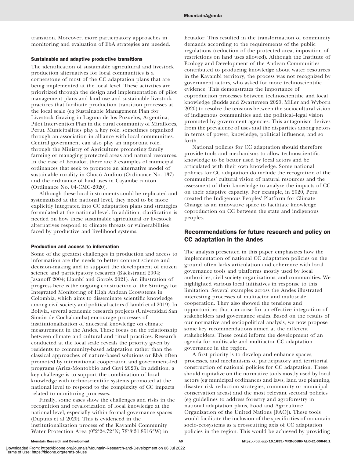transition. Moreover, more participatory approaches in monitoring and evaluation of EbA strategies are needed.

## Sustainable and adaptive productive transitions

The identification of sustainable agricultural and livestock production alternatives for local communities is a cornerstone of most of the CC adaptation plans that are being implemented at the local level. These activities are prioritized through the design and implementation of pilot management plans and land use and sustainable livestock practices that facilitate production transition processes at the local scale (eg Sustainable Management Plan for Livestock Grazing in Laguna de los Pozuelos, Argentina; Pilot Intervention Plan in the rural community of Miraflores, Peru). Municipalities play a key role, sometimes organized through an association in alliance with local communities. Central government can also play an important role, through the Ministry of Agriculture promoting family farming or managing protected areas and natural resources. In the case of Ecuador, there are 2 examples of municipal ordinances that seek to promote an alternative model of sustainable rurality in Chocó Andino (Ordinance No. 137) and the ordinance of land uses in Cayambe canton (Ordinance No. 04-CMC-2020).

Although these local instruments could be replicated and systematized at the national level, they need to be more explicitly integrated into CC adaptation plans and strategies formulated at the national level. In addition, clarification is needed on how these sustainable agricultural or livestock alternatives respond to climate threats or vulnerabilities faced by productive and livelihood systems.

#### Production and access to information

Some of the greatest challenges in production and access to information are the needs to better connect science and decision-making and to support the development of citizen science and participatory research (Bäckstrand 2004; Jasanoff 2004; Llambí and Garcés 2021). An illustration of progress here is the ongoing construction of the Strategy for Integrated Monitoring of High Andean Ecosystems in Colombia, which aims to disseminate scientific knowledge among civil society and political actors (Llambí et al 2019). In Bolivia, several academic research projects (Universidad San Simón de Cochabamba) encourage processes of institutionalization of ancestral knowledge on climate measurement in the Andes. These focus on the relationship between climate and cultural and ritual practices. Research conducted at the local scale reveals the priority given by residents to community-based adaptation rather than the classical approaches of nature-based solutions or EbA often promoted by international cooperation and government-led programs (Ariza-Montobbio and Cuvi 2020). In addition, a key challenge is to support the combination of local knowledge with technoscientific systems promoted at the national level to respond to the complexity of CC impacts related to monitoring processes.

Finally, some cases show the challenges and risks in the recognition and revalorization of local knowledge at the national level, especially within formal governance spaces (Dupuits et al 2020). This is evidenced in the institutionalization process of the Kayambi Community Water Protection Area (0°2′24.72″N; 78°8′31.8516″W) in

Ecuador. This resulted in the transformation of community demands according to the requirements of the public regulations (reduction of the protected area, imposition of restrictions on land uses allowed). Although the Institute of Ecology and Development of the Andean Communities contributed to producing knowledge about water resources in the Kayambi territory, the process was not recognized by government actors, who asked for more technoscientific evidence. This demonstrates the importance of coproduction processes between technoscientific and local knowledge (Budds and Zwarteveen 2020; Miller and Wyborn 2020) to resolve the tensions between the sociocultural vision of indigenous communities and the political–legal vision promoted by government agencies. This antagonism derives from the prevalence of uses and the disparities among actors in terms of power, knowledge, political influence, and so forth.

National policies for CC adaptation should therefore provide tools and mechanisms to allow technoscientific knowledge to be better used by local actors and be articulated with their own knowledge. Some national policies for CC adaptation do include the recognition of the communities' cultural vision of natural resources and the assessment of their knowledge to analyze the impacts of CC on their adaptive capacity. For example, in 2020, Peru created the Indigenous Peoples' Platform for Climate Change as an innovative space to facilitate knowledge coproduction on CC between the state and indigenous peoples.

# Recommendations for future research and policy on CC adaptation in the Andes

The analysis presented in this paper emphasizes how the implementation of national CC adaptation policies on the ground often lacks articulation and coherence with local governance tools and platforms mostly used by local authorities, civil society organizations, and communities. We highlighted various local initiatives in response to this limitation. Several examples across the Andes illustrated interesting processes of multiactor and multiscale cooperation. They also showed the tensions and opportunities that can arise for an effective integration of stakeholders and governance scales. Based on the results of our normative and sociopolitical analysis, we now propose some key recommendations aimed at the different stakeholders. These could inform the development of an agenda for multiscale and multiactor CC adaptation governance in the region.

A first priority is to develop and enhance spaces, processes, and mechanisms of participatory and territorial construction of national policies for CC adaptation. These should capitalize on the normative tools mostly used by local actors (eg municipal ordinances and laws, land use planning, disaster risk reduction strategies, community or municipal conservation areas) and the most relevant sectoral policies (eg guidelines to address forestry and agroforestry in national adaptation plans, Food and Agriculture Organization of the United Nations [FAO]). These tools would facilitate the inclusion of the specificities of mountain socio-ecosystems as a crosscutting axis of CC adaptation policies in the region. This would be achieved by providing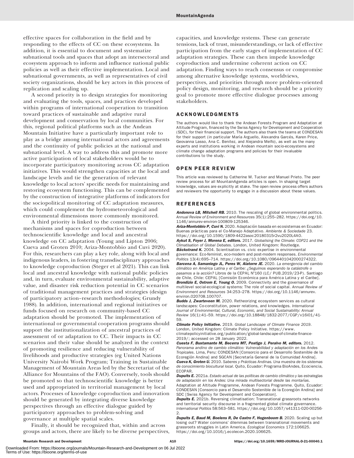effective spaces for collaboration in the field and by responding to the effects of CC on these ecosystems. In addition, it is essential to document and systematize subnational tools and spaces that adopt an intersectoral and ecosystem approach to inform and influence national public policies as well as their effective implementation. Local and subnational governments, as well as representatives of civil society organizations, should be key actors in this process of replication and scaling up.

A second priority is to design strategies for monitoring and evaluating the tools, spaces, and practices developed within programs of international cooperation to transition toward practices of sustainable and adaptive rural development and conservation by local communities. For this, regional political platforms such as the Andean Mountain Initiative have a particularly important role to play as a bridge among international actors and agreements and the continuity of public policies at the national and subnational level. A way to address this and promote more active participation of local stakeholders would be to incorporate participatory monitoring across CC adaptation initiatives. This would strengthen capacities at the local and landscape levels and tie the generation of relevant knowledge to local actors' specific needs for maintaining and restoring ecosystem functioning. This can be complemented by the construction of integrative platforms of indicators for the sociopolitical monitoring of CC adaptation measures, which could complement the hydrometeorological and environmental dimensions more commonly monitored.

A third priority is linked to the construction of mechanisms and spaces for coproduction between technoscientific knowledge and local and ancestral knowledge on CC adaptation (Young and Lipton 2006; Cueva and Groten 2010; Ariza-Montobbio and Cuvi 2020). For this, researchers can play a key role, along with local and indigenous leaders, in fostering transdisciplinary approaches to knowledge coproduction (Steger et al 2021). This can link local and ancestral knowledge with national public policies and, in turn, evaluate environmental sustainability, adaptive value, and disaster risk reduction potential in CC scenarios of traditional management practices and strategies (design of participatory action–research methodologies; Grundy 1988). In addition, international and regional initiatives or funds focused on research on community-based CC adaptation should be promoted. The implementation of international or governmental cooperation programs should support the institutionalization of ancestral practices of assessment of or adaptation to CC. Their impacts in CC scenarios and their value should be analyzed in the context of promoting resilience and reducing vulnerability of livelihoods and productive strategies (eg United Nations University Nairobi Work Program; Training in Sustainable Management of Mountain Areas led by the Secretariat of the Alliance for Mountains of the FAO). Conversely, tools should be promoted so that technoscientific knowledge is better used and appropriated in territorial management by local actors. Processes of knowledge coproduction and innovation should be generated by integrating diverse knowledge perspectives through an effective dialogue guided by participatory approaches to problem-solving and governance at multiple spatial scales.

Finally, it should be recognized that, within and across groups and actors, there are likely to be diverse perspectives, capacities, and knowledge systems. These can generate tensions, lack of trust, misunderstandings, or lack of effective participation from the early stages of implementation of CC adaptation strategies. These can then impede knowledge coproduction and undermine coherent action on CC adaptation. Finding ways to reach consensus or compromise among alternative knowledge systems, worldviews, perspectives, and priorities through more problem-oriented policy design, monitoring, and research should be a priority goal to promote more effective dialogue processes among stakeholders.

## ACKNOWLEDGMENTS

The authors would like to thank the Andean Forests Program and Adaptation at Altitude Program, financed by the Swiss Agency for Development and Cooperation (SDC), for their financial support. The authors also thank the teams at CONDESAN for their support (in particular María Arguello, Alexandra Garcés, Karen Price, Geovanna Lasso, Ana C. Benitez, and Alejandra Melfo), as well as the many experts and institutions working in Andean mountain socio-ecosystems and climate change adaptation programs and policies for their invaluable contributions to the study.

#### OPEN PEER REVIEW

This article was reviewed by Catherine M. Tucker and Manuel Prieto. The peer review process for all MountainAgenda articles is open. In shaping target knowledge, values are explicitly at stake. The open review process offers authors and reviewers the opportunity to engage in a discussion about these values.

#### **REFERENCES**

Andonova LB, Mitchell RB. 2010. The rescaling of global environmental politics. Annual Review of Environment and Resources 35(1):255–282. [https://doi.org/10.](https://doi.org/10.1146/annurev-environ-100809-125346) [1146/annurev-environ-100809-125346](https://doi.org/10.1146/annurev-environ-100809-125346).

Ariza-Montobbio P, Cuvi N, 2020. Adaptación basada en ecosistemas en Ecuador: Buenas prácticas para el Co-Manejo Adaptativo. Ambiente & Sociedade 23. [https://doi.org/10.1590/1809-4422asoc20180315r2vu2020L4AO.](https://doi.org/10.1590/1809-4422asoc20180315r2vu2020L4AO)

Aykut S, Foyer J, Morena E, editors. 2017. Globalising the Climate: COP21 and the Climatisation of Global Debates. London, United Kingdom: Routledge.

Bäckstrand K. 2004. Scientisation vs. civic expertise in environmental governance: Eco-feminist, eco-modern and post-modern responses. Environmental Politics 13(4):695–714.<https://doi.org/10.1080/0964401042000274322>. Barcena A, Samaniego JL, Peres W, Alatorre JE. 2020. La emergencia del cambio climático en América Latina y el Caribe: ¿Seguimos esperando la catástrofe o pasamos a la acción? Libros de la CEPAL Nº160 (LC/ PUB.2019/23-P). Santiago de Chile, Chile: CEPAL [Comisión Económica para América Latina y el Caribe]. Brondizio E, Ostrom E, Young O. 2009. Connectivity and the governance of multilevel social-ecological systems: The role of social capital. Annual Review of Environment and Resources 34:253–278. [https://doi.org/10.1146/annurev.](https://doi.org/10.1146/annurev.environ.020708.100707) [environ.020708.100707.](https://doi.org/10.1146/annurev.environ.020708.100707)

Budds J, Zwarteveen M. 2020. Retheorizing ecosystem services as cultural landscapes: Co-constitution, power relations, and knowledges. International Journal of Environmental, Cultural, Economic, and Social Sustainability: Annual Review 16(1):41–59. [https://doi.org/10.18848/1832-2077/CGP/v16i01/41-](https://doi.org/10.18848/1832-2077/CGP/v16i01/41-59) [59.](https://doi.org/10.18848/1832-2077/CGP/v16i01/41-59)

Climate Policy Initiative. 2019. Global Landscape of Climate Finance 2019. London, United Kingdom: Climate Policy Initiative. [https://www.](https://www.climatepolicyinitiative.org/publication/global-landscape-of-climate-finance-2019/) [climatepolicyinitiative.org/publication/global-landscape-of-climate-finance-](https://www.climatepolicyinitiative.org/publication/global-landscape-of-climate-finance-2019/)[2019/](https://www.climatepolicyinitiative.org/publication/global-landscape-of-climate-finance-2019/); accessed on 28 January 2022.

Cuesta F, Bustamante M, Becerra MT, Postigo J, Peralvo M, editors. 2012. Panorama andino de cambio climático: Vulnerabilidad y adaptación en los Andes Tropicales. Lima, Peru: CONDESAN [Consorcio para el Desarrollo Sostenible de la Ecoregión Andina] and SGCAN [Secretaría General de la Comunidad Andina]. Cueva K, Groten U. 2010. Saberes y Prácticas Andinas. Una muestra de los sistemas de conocimiento biocultural local. Quito, Ecuador: Programa BioAndes, Ecociencia, ECOPAR.

**Dupuits E.** 2021a. Estado actual de las políticas de cambio climático y las estrategias de adaptación en los Andes: Una mirada multisectorial desde las montañas. Adaptation at Altitude Programme, Andean Forests Programme. Quito, Ecuador: CONDESAN [Consorcio para el Desarrollo Sostenible de la Ecoregión Andina] and SDC [Swiss Agency for Development and Cooperation].

**Dupuits E.** 2021b. Reversing climatisation: Transnational grassroots networks and territorial security discourse in a fragmented global climate governance. International Politics 58:563–581. [https://doi.org/10.1057/s41311-020-00256-](https://doi.org/10.1057/s41311-020-00256-2) [2](https://doi.org/10.1057/s41311-020-00256-2).

Dupuits E, Baud M, Boelens R, De Castro F, Hogenboom B. 2020. Scaling up but losing out? Water commons' dilemmas between transnational movements and grassroots struggles in Latin America. Ecological Economics 172:106625. <https://doi.org/10.1016/j.ecolecon.2020.106625>.